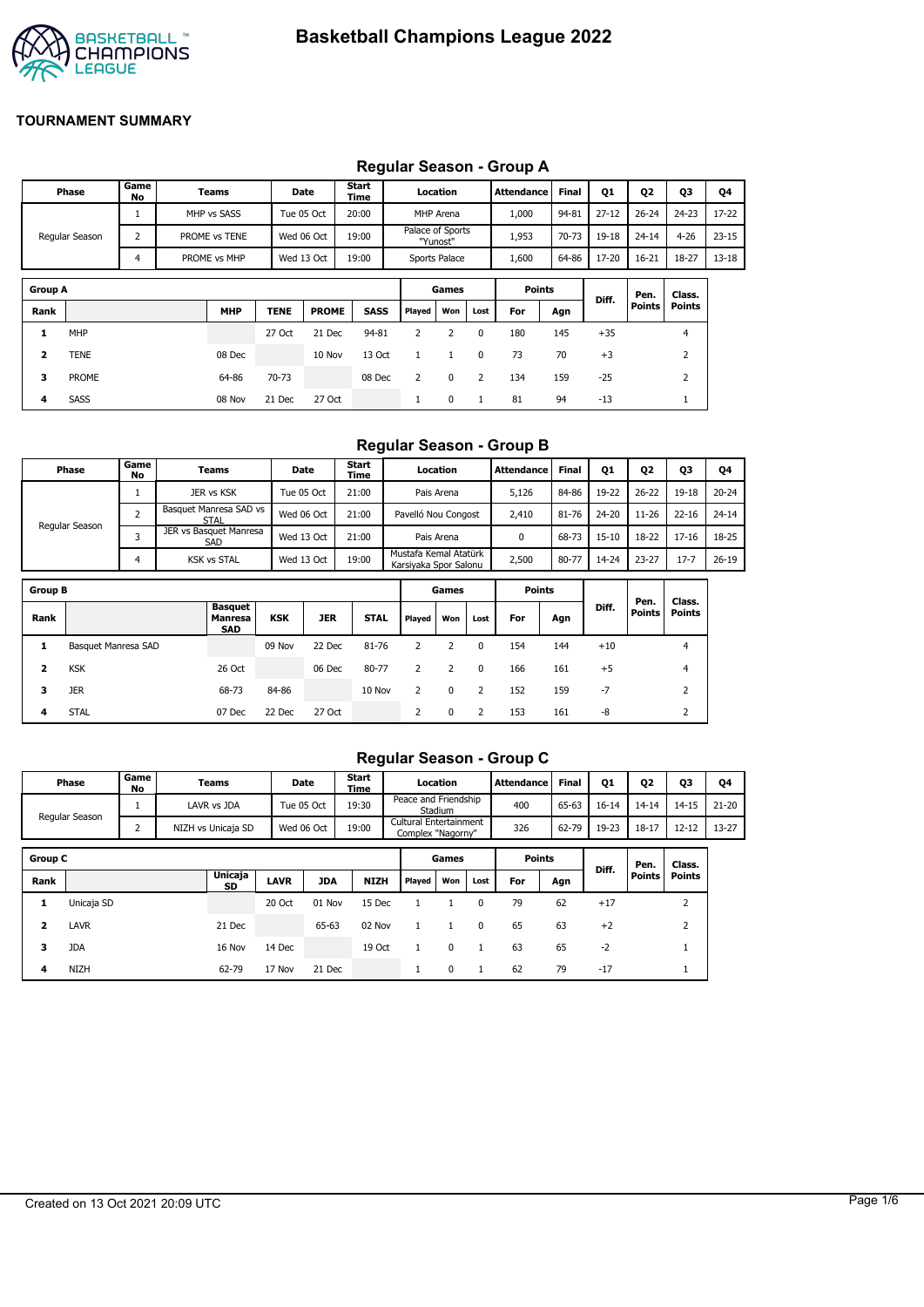

## **Regular Season - Group A**

| Phase          | Game<br>No | Teams         | Date            | <b>Start</b><br>Time | Location                     | Attendance    | <b>Final</b> | Q1        | Q <sub>2</sub> | Q3        | Q4        |
|----------------|------------|---------------|-----------------|----------------------|------------------------------|---------------|--------------|-----------|----------------|-----------|-----------|
|                |            | MHP vs SASS   | Tue 05 Oct      | 20:00                | MHP Arena                    | 1,000         | 94-81        | $27 - 12$ | $26 - 24$      | $24 - 23$ | $17 - 22$ |
| Regular Season |            | PROME vs TENE | Wed 06 Oct      | 19:00                | Palace of Sports<br>"Yunost" | 1,953         | $70 - 73$    | 19-18     | $24 - 14$      | $4 - 26$  | $23 - 15$ |
|                |            | PROME vs MHP  | Wed 13 Oct      | 19:00                | Sports Palace                | 1,600         | 64-86        | 17-20     | 16-21          | 18-27     | $13 - 18$ |
| <b>Group A</b> |            |               |                 |                      | Games                        | <b>Points</b> |              |           | Pen.           | Class.    |           |
| - -            |            | $- - - - -$   | -----<br>------ | $- - - -$            | $-1$                         |               |              | Diff.     | <b>Points</b>  | Points    |           |

| Group A |      |            |             |              |             |        | Games          |          |     | Points | Diff. | Pen.       | l Cla |
|---------|------|------------|-------------|--------------|-------------|--------|----------------|----------|-----|--------|-------|------------|-------|
| Rank    |      | <b>MHP</b> | <b>TENE</b> | <b>PROME</b> | <b>SASS</b> | Played | Won            | Lost i   | For | Agn    |       | Points Poi |       |
|         | MHP  |            | 27 Oct      | 21 Dec       | 94-81       | 2      | $\overline{2}$ | $\Omega$ | 180 | 145    | $+35$ |            |       |
|         | TENE | 08 Dec     |             | 10 Nov       | 13 Oct      |        |                | $\Omega$ | 73  | 70     | $+3$  |            |       |

**3** PROME 64-86 70-73 08 Dec 2 0 2 134 159 -25 2 **4** SASS 08 Nov 21 Dec 27 Oct 1 0 1 81 94 -13 1

### **Regular Season - Group B**

| <b>Phase</b>   | Game <sup>1</sup><br>No | Teams                                 | Date       | <b>Start</b><br>Time | Location                                       | Attendance | <b>Final</b> | Q1        | Q2        | Q3        | Q4        |
|----------------|-------------------------|---------------------------------------|------------|----------------------|------------------------------------------------|------------|--------------|-----------|-----------|-----------|-----------|
|                |                         | JER vs KSK                            | Tue 05 Oct | 21:00                | Pais Arena                                     | 5,126      | 84-86        | 19-22     | $26 - 22$ | $19 - 18$ | $20 - 24$ |
|                |                         | Basquet Manresa SAD vs<br><b>STAL</b> | Wed 06 Oct | 21:00                | Pavelló Nou Congost                            | 2,410      | 81-76        | $24 - 20$ | $11 - 26$ | $22 - 16$ | $24 - 14$ |
| Regular Season |                         | JER vs Basquet Manresa<br><b>SAD</b>  | Wed 13 Oct | 21:00                | Pais Arena                                     |            | 68-73        | $15 - 10$ | 18-22     | $17 - 16$ | 18-25     |
|                |                         | <b>KSK vs STAL</b>                    | Wed 13 Oct | 19:00                | Mustafa Kemal Atatürk<br>Karsivaka Spor Salonu | 2,500      | 80-77        | 14-24     | $23 - 27$ | $17 - 7$  | $26 - 19$ |

| <b>Group B</b> |                     |                                         |            |            |             |                | Games    |      | <b>Points</b> |     |       |                       |                  |
|----------------|---------------------|-----------------------------------------|------------|------------|-------------|----------------|----------|------|---------------|-----|-------|-----------------------|------------------|
| Rank           |                     | Basquet<br><b>Manresa</b><br><b>SAD</b> | <b>KSK</b> | <b>JER</b> | <b>STAL</b> | Played         | Won      | Lost | For           | Agn | Diff. | Pen.<br><b>Points</b> | Class.<br>Points |
|                | Basquet Manresa SAD |                                         | 09 Nov     | 22 Dec     | 81-76       |                |          | 0    | 154           | 144 | $+10$ |                       | 4                |
| 2              | <b>KSK</b>          | 26 Oct                                  |            | 06 Dec     | 80-77       |                |          | 0    | 166           | 161 | $+5$  |                       | 4                |
| 3              | <b>JER</b>          | 68-73                                   | 84-86      |            | 10 Nov      | $\overline{2}$ | $\Omega$ |      | 152           | 159 | -7    |                       | $\overline{2}$   |
| 4              | <b>STAL</b>         | 07 Dec                                  | 22 Dec     | 27 Oct     |             | $\overline{2}$ | 0        |      | 153           | 161 | -8    |                       | $\overline{2}$   |

## **Regular Season - Group C**

|                | Phase          | Game<br>No | Teams              |             | Date       | Start<br>Time |                                             | Location |              | Attendance    | Final | <b>Q1</b> | 02            | Q3             | Q4        |
|----------------|----------------|------------|--------------------|-------------|------------|---------------|---------------------------------------------|----------|--------------|---------------|-------|-----------|---------------|----------------|-----------|
|                | Regular Season |            | LAVR vs JDA        |             | Tue 05 Oct | 19:30         | Peace and Friendship                        | Stadium  |              | 400           | 65-63 | $16 - 14$ | $14 - 14$     | $14 - 15$      | $21 - 20$ |
|                |                | ∠          | NIZH vs Unicaja SD |             | Wed 06 Oct | 19:00         | Cultural Entertainment<br>Complex "Nagorny" |          |              | 326           | 62-79 | 19-23     | $18 - 17$     | $12 - 12$      | $13 - 27$ |
| <b>Group C</b> |                |            |                    |             |            |               |                                             | Games    |              | <b>Points</b> |       |           | Pen.          | Class.         |           |
| Rank           |                |            | Unicaja<br>SD      | <b>LAVR</b> | <b>JDA</b> | <b>NIZH</b>   | Played                                      | Won      | Lost         | For           | Agn   | Diff.     | <b>Points</b> | <b>Points</b>  |           |
| 1              | Unicaja SD     |            |                    | 20 Oct      | 01 Nov     | 15 Dec        |                                             |          | $\mathbf{0}$ | 79            | 62    | $+17$     |               | $\overline{2}$ |           |
| 2              | LAVR           |            | 21 Dec             |             | 65-63      | 02 Nov        | $\mathbf{1}$                                |          | $\Omega$     | 65            | 63    | $+2$      |               | $\overline{2}$ |           |
| 3              | <b>JDA</b>     |            | 16 Nov             | 14 Dec      |            | 19 Oct        |                                             | 0        |              | 63            | 65    | $-2$      |               |                |           |
| 4              | NIZH           |            | 62-79              | 17 Nov      | 21 Dec     |               | 1                                           | 0        |              | 62            | 79    | $-17$     |               | л.             |           |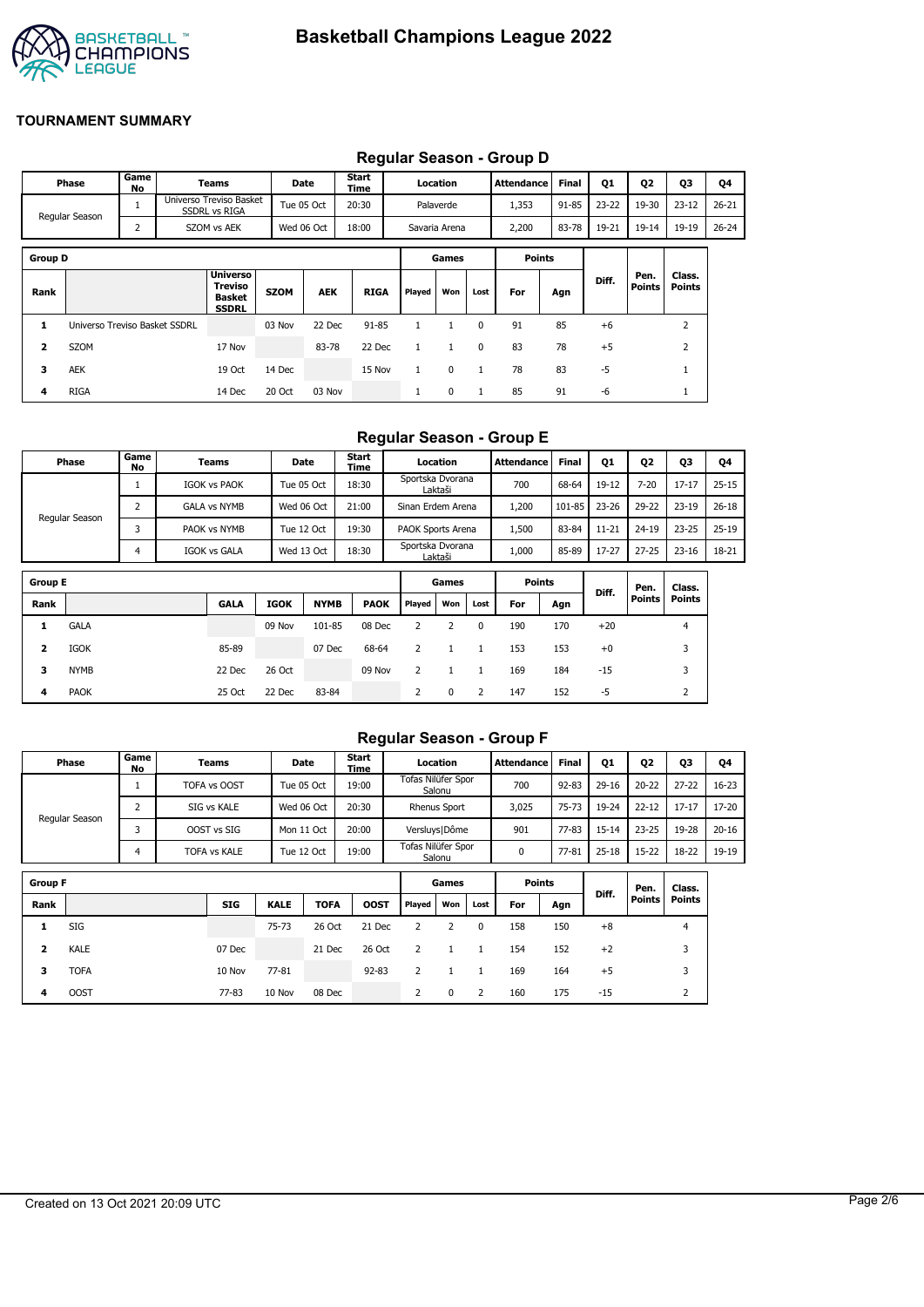

|                |                               |                |                                                             |             |            |               |              |               |              | Requiar Season - Group D |       |           |                |                  |           |
|----------------|-------------------------------|----------------|-------------------------------------------------------------|-------------|------------|---------------|--------------|---------------|--------------|--------------------------|-------|-----------|----------------|------------------|-----------|
|                | Phase                         | Game<br>No     | Teams                                                       |             | Date       | Start<br>Time |              | Location      |              | <b>Attendance</b>        | Final | <b>Q1</b> | Q <sub>2</sub> | Q3               | Q4        |
|                | Regular Season                |                | Universo Treviso Basket<br><b>SSDRL vs RIGA</b>             |             | Tue 05 Oct | 20:30         |              | Palaverde     |              | 1,353                    | 91-85 | $23 - 22$ | 19-30          | $23 - 12$        | $26 - 21$ |
|                |                               | $\overline{2}$ | SZOM vs AEK                                                 |             | Wed 06 Oct | 18:00         |              | Savaria Arena |              | 2,200                    | 83-78 | 19-21     | $19 - 14$      | 19-19            | $26 - 24$ |
| <b>Group D</b> |                               |                |                                                             |             |            |               |              | Games         |              | <b>Points</b>            |       |           |                |                  |           |
| Rank           |                               |                | <b>Universo</b><br>Treviso<br><b>Basket</b><br><b>SSDRL</b> | <b>SZOM</b> | <b>AEK</b> | <b>RIGA</b>   | Played       | Won           | Lost         | For                      | Agn   | Diff.     | Pen.<br>Points | Class.<br>Points |           |
| 1              | Universo Treviso Basket SSDRL |                |                                                             | 03 Nov      | 22 Dec     | $91 - 85$     | $\mathbf{1}$ | 1             | $\mathbf{0}$ | 91                       | 85    | $+6$      |                | $\overline{2}$   |           |
| 2              | SZOM                          |                | 17 Nov                                                      |             | 83-78      | 22 Dec        | $\mathbf{1}$ | $\mathbf{1}$  | $\mathbf{0}$ | 83                       | 78    | $+5$      |                | $\overline{2}$   |           |
| 3              | AEK                           |                | 19 Oct                                                      | 14 Dec      |            | 15 Nov        | $\mathbf{1}$ | 0             | 1            | 78                       | 83    | $-5$      |                | $\mathbf{1}$     |           |
| 4              | <b>RIGA</b>                   |                | 14 Dec                                                      | 20 Oct      | 03 Nov     |               | л.           | 0             | $\mathbf{1}$ | 85                       | 91    | -6        |                | T                |           |

## **Regular Season - Group D**

## **Regular Season - Group E**

| Phase          | Game<br>No | Teams               | <b>Date</b> | <b>Start</b><br>Time | Location                    | Attendance | <b>Final</b> | Q1        | Q <sub>2</sub> | Q3        | Q4        |
|----------------|------------|---------------------|-------------|----------------------|-----------------------------|------------|--------------|-----------|----------------|-----------|-----------|
|                |            | <b>IGOK vs PAOK</b> | Tue 05 Oct  | 18:30                | Sportska Dvorana<br>Laktaši | 700        | 68-64        | 19-12     | $7 - 20$       | $17 - 17$ | $25 - 15$ |
|                |            | <b>GALA vs NYMB</b> | Wed 06 Oct  | 21:00                | Sinan Erdem Arena           | 200،       | 101-85       | 23-26     | 29-22          | $23 - 19$ | $26 - 18$ |
| Regular Season |            | PAOK vs NYMB        | Tue 12 Oct  | 19:30                | PAOK Sports Arena           | 500ء       | 83-84        | $11 - 21$ | $24 - 19$      | $23 - 25$ | $25 - 19$ |
|                |            | IGOK vs GALA        | Wed 13 Oct  | 18:30                | Sportska Dvorana<br>Laktaši | 1,000      | 85-89        | 17-27     | $27 - 25$      | $23 - 16$ | 18-21     |

| <b>Group E</b> |             |             |             |             |             |        | Games |      | <b>Points</b> |     |       | Pen.          | Class.        |
|----------------|-------------|-------------|-------------|-------------|-------------|--------|-------|------|---------------|-----|-------|---------------|---------------|
| Rank           |             | <b>GALA</b> | <b>IGOK</b> | <b>NYMB</b> | <b>PAOK</b> | Played | Won   | Lost | For           | Agn | Diff. | <b>Points</b> | <b>Points</b> |
|                | <b>GALA</b> |             | 09 Nov      | 101-85      | 08 Dec      |        |       | 0    | 190           | 170 | $+20$ |               | 4             |
| 2              | IGOK        | 85-89       |             | 07 Dec      | 68-64       |        |       |      | 153           | 153 | $+0$  |               | 3             |
| 3              | <b>NYMB</b> | 22 Dec      | 26 Oct      |             | 09 Nov      |        |       |      | 169           | 184 | $-15$ |               | 3             |
| 4              | <b>PAOK</b> | 25 Oct      | 22 Dec      | 83-84       |             | 2      | 0     | 2    | 147           | 152 | -5    |               | ∠             |

### **Regular Season - Group F**

|                | Phase          | Game<br>No | Teams               |             | Date        | Start<br>Time |                    | Location            |      | <b>Attendance</b> | <b>Final</b> | 01        | <b>Q2</b>     | 03             | Q4        |
|----------------|----------------|------------|---------------------|-------------|-------------|---------------|--------------------|---------------------|------|-------------------|--------------|-----------|---------------|----------------|-----------|
|                |                |            | <b>TOFA vs OOST</b> |             | Tue 05 Oct  | 19:00         | Tofas Nilüfer Spor | Salonu              |      | 700               | $92 - 83$    | $29 - 16$ | $20 - 22$     | $27 - 22$      | $16 - 23$ |
|                | Regular Season | 2          | SIG vs KALE         |             | Wed 06 Oct  | 20:30         |                    | <b>Rhenus Sport</b> |      | 3,025             | 75-73        | 19-24     | $22 - 12$     | $17 - 17$      | 17-20     |
|                |                | 3          | OOST vs SIG         |             | Mon 11 Oct  | 20:00         |                    | Versluys   Dôme     |      | 901               | $77 - 83$    | $15 - 14$ | $23 - 25$     | 19-28          | $20 - 16$ |
|                |                | 4          | TOFA vs KALE        |             | Tue 12 Oct  | 19:00         | Tofas Nilüfer Spor | Salonu              |      | 0                 | 77-81        | $25 - 18$ | $15 - 22$     | 18-22          | 19-19     |
|                |                |            |                     |             |             |               |                    |                     |      |                   |              |           |               |                |           |
| <b>Group F</b> |                |            |                     |             |             |               |                    | Games               |      | <b>Points</b>     |              | Diff.     | Pen.          | Class.         |           |
| Rank           |                |            | <b>SIG</b>          | <b>KALE</b> | <b>TOFA</b> | <b>OOST</b>   | Played             | Won                 | Lost | For               | Agn          |           | <b>Points</b> | Points         |           |
| 1              | SIG            |            |                     | $75 - 73$   | 26 Oct      | 21 Dec        | 2                  | 2                   | 0    | 158               | 150          | $+8$      |               | $\overline{4}$ |           |
| 2              | KALE           |            | 07 Dec              |             | 21 Dec      | 26 Oct        | 2                  |                     |      | 154               | 152          | $+2$      |               | 3              |           |
| 3              | <b>TOFA</b>    |            | 10 Nov              | 77-81       |             | $92 - 83$     | 2                  |                     |      | 169               | 164          | $+5$      |               | 3              |           |

**4** OOST 77-83 10 Nov 08 Dec 2 0 2 160 175 -15 2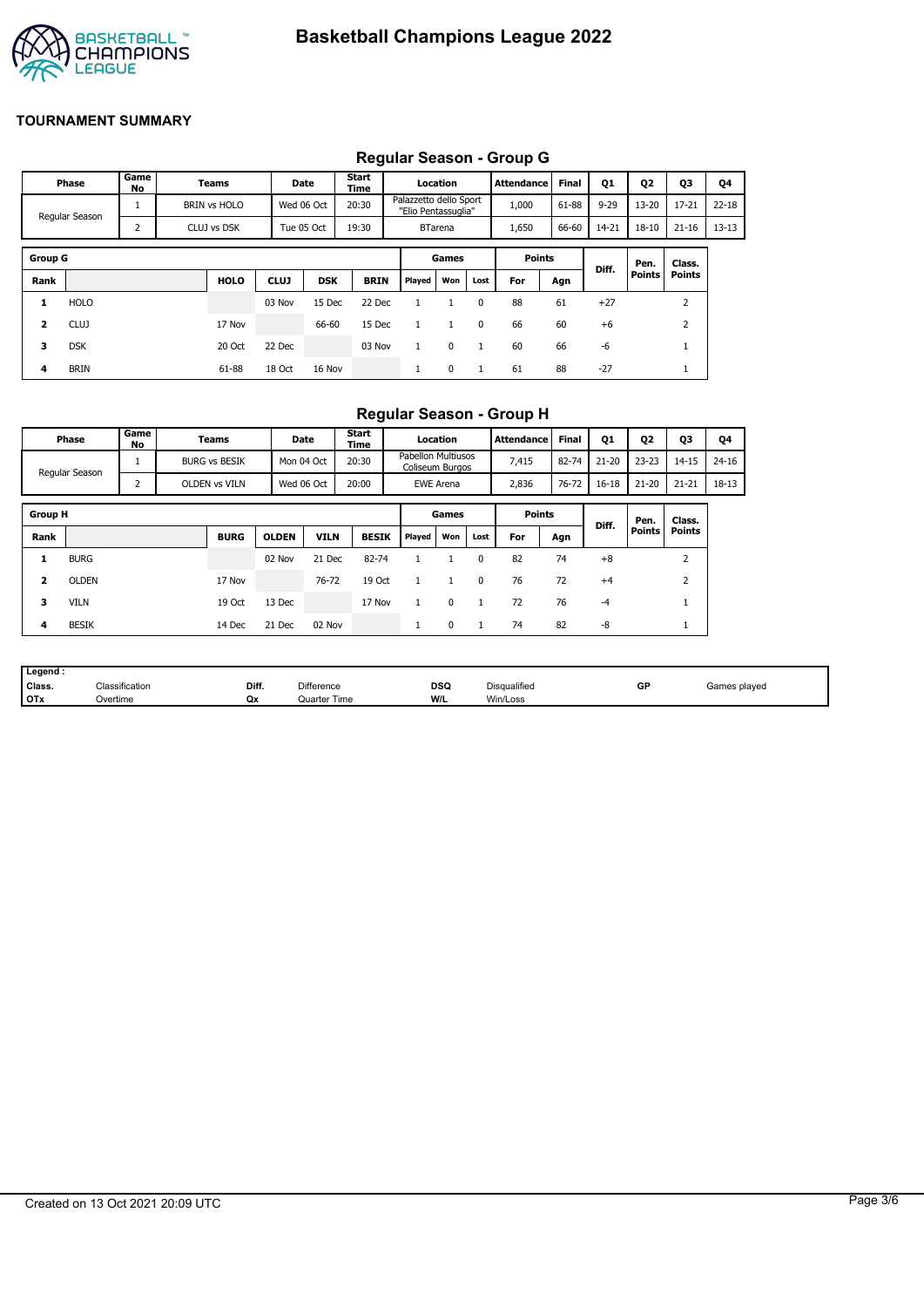

# **Regular Season - Group G**

|                |                |            |                     |             |            |               |                                               |                |              | Regular Ocason - Oroup O |              |          |               |               |           |
|----------------|----------------|------------|---------------------|-------------|------------|---------------|-----------------------------------------------|----------------|--------------|--------------------------|--------------|----------|---------------|---------------|-----------|
|                | Phase          | Game<br>No | Teams               |             | Date       | Start<br>Time |                                               | Location       |              | <b>Attendance</b>        | <b>Final</b> | Q1       | Q2            | <b>Q3</b>     | Q4        |
|                | Regular Season | 1          | <b>BRIN vs HOLO</b> |             | Wed 06 Oct | 20:30         | Palazzetto dello Sport<br>"Elio Pentassuglia" |                |              | 1,000                    | 61-88        | $9 - 29$ | $13 - 20$     | $17 - 21$     | $22 - 18$ |
|                |                | 2          | CLUJ vs DSK         |             | Tue 05 Oct | 19:30         |                                               | <b>BTarena</b> |              | 1,650                    | 66-60        | 14-21    | $18 - 10$     | $21 - 16$     | $13 - 13$ |
|                |                |            |                     |             |            |               |                                               |                |              |                          |              |          |               |               |           |
| <b>Group G</b> |                |            |                     |             |            |               |                                               | Games          |              | <b>Points</b>            |              | Diff.    | Pen.          | Class.        |           |
| Rank           |                |            | <b>HOLO</b>         | <b>CLUJ</b> | <b>DSK</b> | <b>BRIN</b>   | Played                                        | Won            | Lost         | For                      | Agn          |          | <b>Points</b> | <b>Points</b> |           |
| 1              | <b>HOLO</b>    |            |                     | 03 Nov      | 15 Dec     | 22 Dec        |                                               |                | $\Omega$     | 88                       | 61           | $+27$    |               | 2             |           |
| 2              | <b>CLUJ</b>    |            | 17 Nov              |             | 66-60      | 15 Dec        |                                               |                | 0            | 66                       | 60           | $+6$     |               | 2             |           |
| 3              | <b>DSK</b>     |            | 20 Oct              | 22 Dec      |            | 03 Nov        |                                               | $\mathbf 0$    | $\mathbf{1}$ | 60                       | 66           | -6       |               |               |           |
| 4              | <b>BRIN</b>    |            | 61-88               | 18 Oct      | 16 Nov     |               |                                               | 0              | 1            | 61                       | 88           | $-27$    |               |               |           |

## **Regular Season - Group H**

|                         | Phase          | Game<br>No | Teams                | Date         |             | <b>Start</b><br>Time |                                              | Location         |          | Attendance    | <b>Final</b> | Q1        | Q <sub>2</sub> | Q3            | Q4        |
|-------------------------|----------------|------------|----------------------|--------------|-------------|----------------------|----------------------------------------------|------------------|----------|---------------|--------------|-----------|----------------|---------------|-----------|
|                         | Regular Season |            | <b>BURG vs BESIK</b> | Mon 04 Oct   |             | 20:30                | <b>Pabellon Multiusos</b><br>Coliseum Burgos |                  |          | 7,415         | 82-74        | $21 - 20$ | $23 - 23$      | $14 - 15$     | $24 - 16$ |
|                         |                | 2          | OLDEN vs VILN        | Wed 06 Oct   |             | 20:00                |                                              | <b>EWE Arena</b> |          | 2,836         | 76-72        | $16 - 18$ | $21 - 20$      | $21 - 21$     | 18-13     |
| <b>Group H</b>          |                |            |                      |              |             |                      |                                              | Games            |          | <b>Points</b> |              |           | Pen.           | Class.        |           |
| Rank                    |                |            | <b>BURG</b>          | <b>OLDEN</b> | <b>VILN</b> | <b>BESIK</b>         | Played                                       | Won              | Lost     | For           | Agn          | Diff.     | Points         | <b>Points</b> |           |
| 1                       | <b>BURG</b>    |            |                      | 02 Nov       | 21 Dec      | 82-74                |                                              |                  | $\Omega$ | 82            | 74           | $+8$      |                | 2             |           |
| $\overline{\mathbf{2}}$ | <b>OLDEN</b>   |            | 17 Nov               |              | 76-72       | 19 Oct               |                                              |                  | $\Omega$ | 76            | 72           | $+4$      |                | 2             |           |
| з                       | <b>VILN</b>    |            | 19 Oct               | 13 Dec       |             | 17 Nov               |                                              | $\Omega$         |          | 72            | 76           | $-4$      |                |               |           |
| 4                       | <b>BESIK</b>   |            | 14 Dec               | 21 Dec       | 02 Nov      |                      | л.                                           | 0                |          | 74            | 82           | -8        |                | <b>T</b>      |           |

| Legend:    |                            |       |                   |                    |              |    |              |
|------------|----------------------------|-------|-------------------|--------------------|--------------|----|--------------|
| Class.     | <sup>∽เ</sup> assification | Diff. | <b>Difference</b> | <b>DSQ</b><br>$ -$ | Disqualified | GP | Games played |
| <b>OTx</b> | Overtime                   | Qx    | Quarter Time      | W/L                | Win/Loss     |    |              |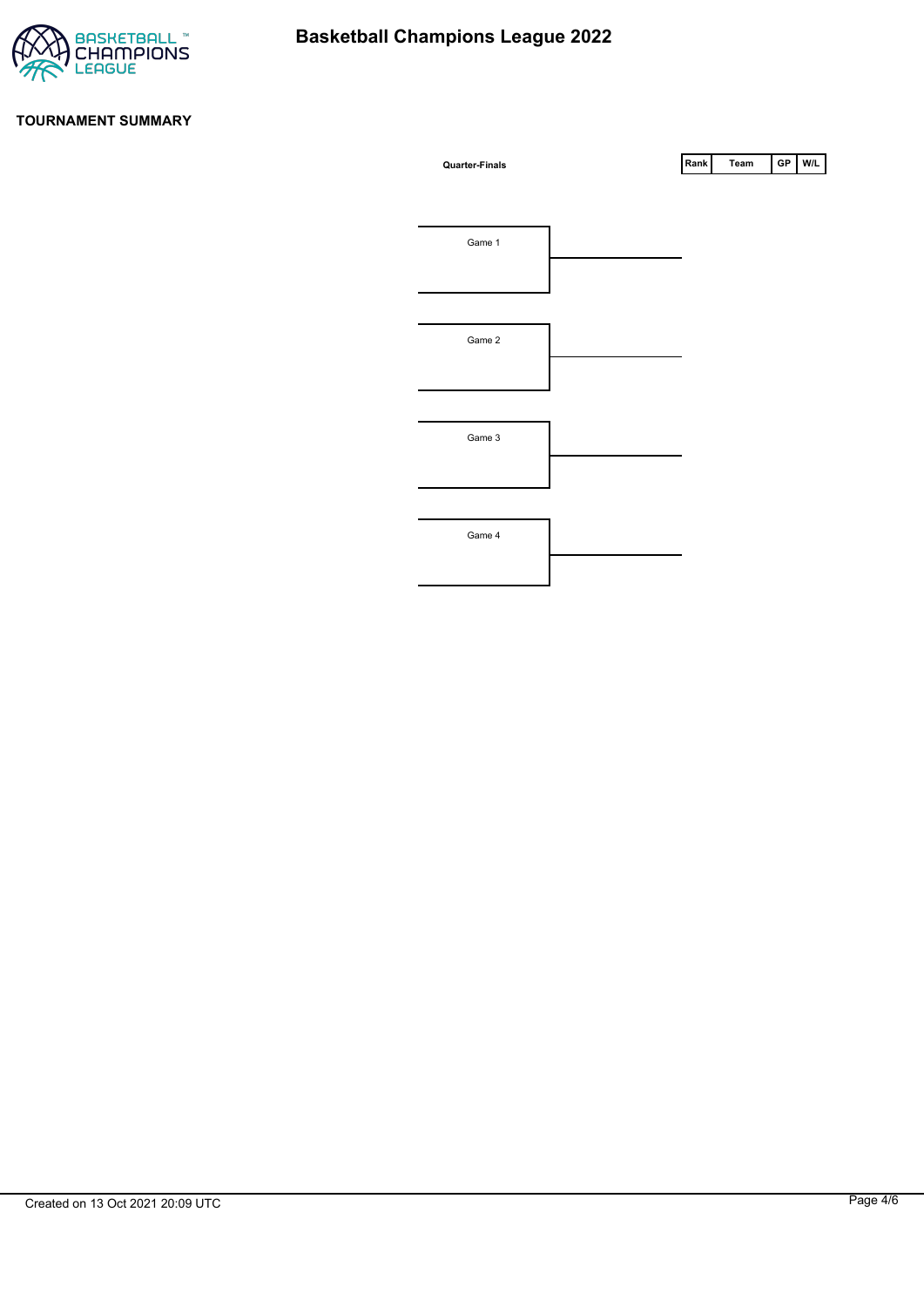

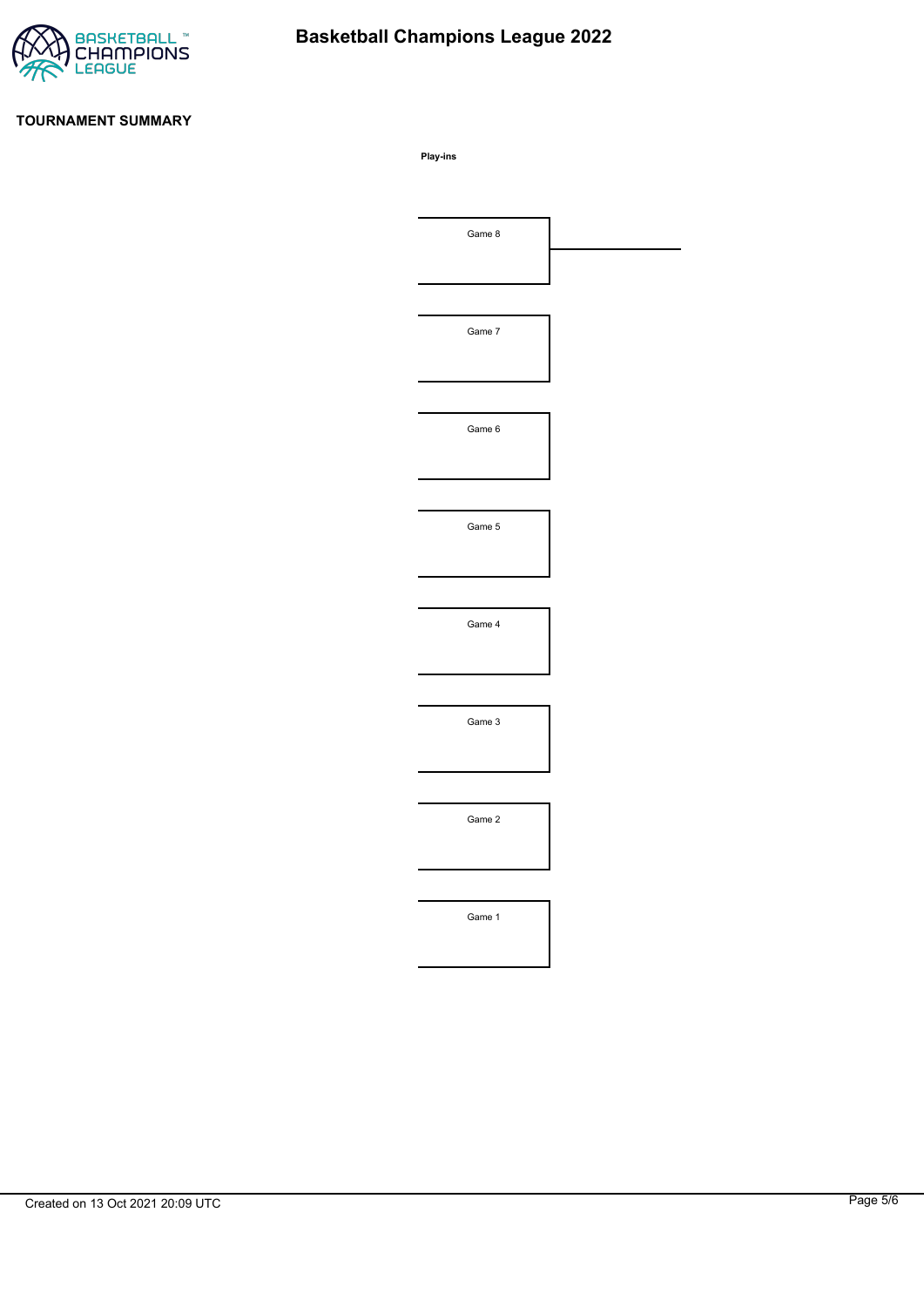

# **Basketball Champions League 2022**

#### **TOURNAMENT SUMMARY**

**Play-ins**

| Game 8 |  |
|--------|--|
|        |  |
|        |  |
| Game 7 |  |
|        |  |
|        |  |
| Game 6 |  |
|        |  |
|        |  |
| Game 5 |  |
|        |  |
|        |  |
| Game 4 |  |
|        |  |
|        |  |
|        |  |
| Game 3 |  |
|        |  |
|        |  |
| Game 2 |  |
|        |  |
|        |  |
| Game 1 |  |
|        |  |
|        |  |